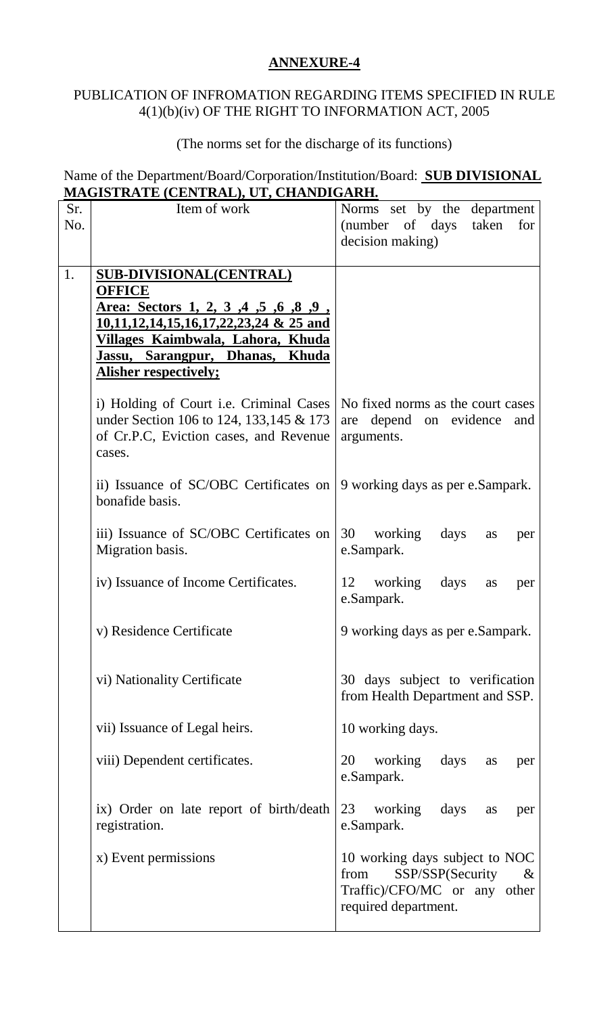## **ANNEXURE-4**

## PUBLICATION OF INFROMATION REGARDING ITEMS SPECIFIED IN RULE 4(1)(b)(iv) OF THE RIGHT TO INFORMATION ACT, 2005

## (The norms set for the discharge of its functions)

## Name of the Department/Board/Corporation/Institution/Board: **SUB DIVISIONAL MAGISTRATE (CENTRAL), UT, CHANDIGARH .**

| Sr. | Item of work                                                                                                                            | Norms set by the department                                                                                                |
|-----|-----------------------------------------------------------------------------------------------------------------------------------------|----------------------------------------------------------------------------------------------------------------------------|
| No. |                                                                                                                                         | taken<br>(number of days<br>for                                                                                            |
|     |                                                                                                                                         | decision making)                                                                                                           |
| 1.  | <b>SUB-DIVISIONAL(CENTRAL)</b>                                                                                                          |                                                                                                                            |
|     | <b>OFFICE</b>                                                                                                                           |                                                                                                                            |
|     | <u>Area: Sectors 1, 2, 3, 4, 5, 6, 8, 9, 8, 1</u>                                                                                       |                                                                                                                            |
|     | $10,11,12,14,15,16,17,22,23,24$ & 25 and                                                                                                |                                                                                                                            |
|     | Villages Kaimbwala, Lahora, Khuda                                                                                                       |                                                                                                                            |
|     | Jassu, Sarangpur, Dhanas, Khuda                                                                                                         |                                                                                                                            |
|     | <b>Alisher respectively;</b>                                                                                                            |                                                                                                                            |
|     | i) Holding of Court i.e. Criminal Cases<br>under Section 106 to 124, 133, 145 & 173<br>of Cr.P.C, Eviction cases, and Revenue<br>cases. | No fixed norms as the court cases<br>are depend on evidence<br>and<br>arguments.                                           |
|     | ii) Issuance of SC/OBC Certificates on<br>bonafide basis.                                                                               | 9 working days as per e.Sampark.                                                                                           |
|     | iii) Issuance of SC/OBC Certificates on<br>Migration basis.                                                                             | 30 working<br>days<br>as<br>per<br>e.Sampark.                                                                              |
|     | iv) Issuance of Income Certificates.                                                                                                    | working<br>12<br>days<br>as<br>per<br>e.Sampark.                                                                           |
|     | v) Residence Certificate                                                                                                                | 9 working days as per e.Sampark.                                                                                           |
|     | vi) Nationality Certificate                                                                                                             | 30 days subject to verification<br>from Health Department and SSP.                                                         |
|     | vii) Issuance of Legal heirs.                                                                                                           | 10 working days.                                                                                                           |
|     | viii) Dependent certificates.                                                                                                           | working<br>20<br>days<br>as<br>per<br>e.Sampark.                                                                           |
|     | ix) Order on late report of birth/death<br>registration.                                                                                | 23<br>working<br>days<br>as<br>per<br>e.Sampark.                                                                           |
|     | x) Event permissions                                                                                                                    | 10 working days subject to NOC<br>SSP/SSP(Security<br>from<br>$\&$<br>Traffic)/CFO/MC or any other<br>required department. |